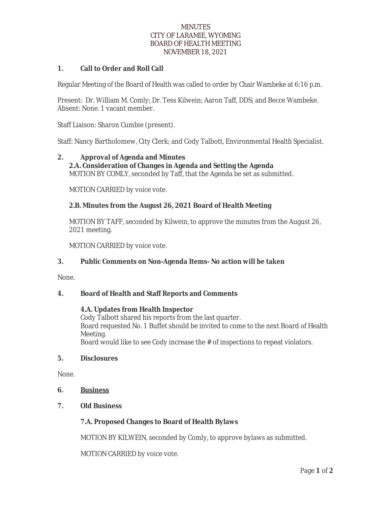### **MINUTES** CITY OF LARAMIE, WYOMING BOARD OF HEALTH MEETING NOVEMBER 18, 2021

## **1. Call to Order and Roll Call**

Regular Meeting of the Board of Health was called to order by Chair Wambeke at 6:16 p.m.

Present: Dr. William M. Comly; Dr. Tess Kilwein; Aaron Taff, DDS; and Becce Wambeke. Absent: None. 1 vacant member.

Staff Liaison: Sharon Cumbie (present).

Staff: Nancy Bartholomew, City Clerk; and Cody Talbott, Environmental Health Specialist.

### **2. Approval of Agenda and Minutes 2.A. Consideration of Changes in Agenda and Setting the Agenda** MOTION BY COMLY, seconded by Taff, that the Agenda be set as submitted.

MOTION CARRIED by voice vote.

## **2.B. Minutes from the August 26, 2021 Board of Health Meeting**

MOTION BY TAFF, seconded by Kilwein, to approve the minutes from the August 26, 2021 meeting.

MOTION CARRIED by voice vote.

## **3. Public Comments on Non-Agenda Items- No action will be taken**

None.

## **4. Board of Health and Staff Reports and Comments**

#### **4.A. Updates from Health Inspector**

Cody Talbott shared his reports from the last quarter. Board requested No. 1 Buffet should be invited to come to the next Board of Health Meeting.

Board would like to see Cody increase the # of inspections to repeat violators.

#### **5. Disclosures**

None.

- **6. Business**
- **7. Old Business**

#### **7.A. Proposed Changes to Board of Health Bylaws**

MOTION BY KILWEIN, seconded by Comly, to approve bylaws as submitted.

MOTION CARRIED by voice vote.